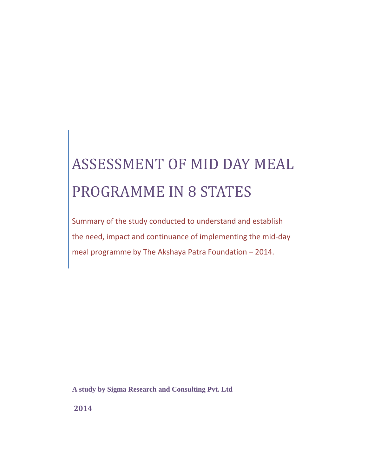# ASSESSMENT OF MID DAY MEAL PROGRAMME IN 8 STATES

Summary of the study conducted to understand and establish the need, impact and continuance of implementing the mid-day meal programme by The Akshaya Patra Foundation – 2014.

**A study by Sigma Research and Consulting Pvt. Ltd**

**2014**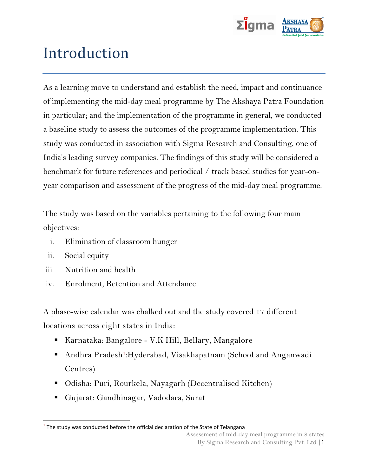

## Introduction

As a learning move to understand and establish the need, impact and continuance of implementing the mid-day meal programme by The Akshaya Patra Foundation in particular; and the implementation of the programme in general, we conducted a baseline study to assess the outcomes of the programme implementation. This study was conducted in association with Sigma Research and Consulting, one of India's leading survey companies. The findings of this study will be considered a benchmark for future references and periodical / track based studies for year-onyear comparison and assessment of the progress of the mid-day meal programme.

The study was based on the variables pertaining to the following four main objectives:

- i. Elimination of classroom hunger
- ii. Social equity

 $\overline{\phantom{a}}$ 

- iii. Nutrition and health
- iv. Enrolment, Retention and Attendance

A phase-wise calendar was chalked out and the study covered 17 different locations across eight states in India:

- Karnataka: Bangalore V.K Hill, Bellary, Mangalore
- Andhra Pradesh<sup>1</sup>:Hyderabad, Visakhapatnam (School and Anganwadi Centres)
- Odisha: Puri, Rourkela, Nayagarh (Decentralised Kitchen)
- Gujarat: Gandhinagar, Vadodara, Surat

 $^1$  The study was conducted before the official declaration of the State of Telangana

Assessment of mid-day meal programme in 8 states By Sigma Research and Consulting Pvt. Ltd |1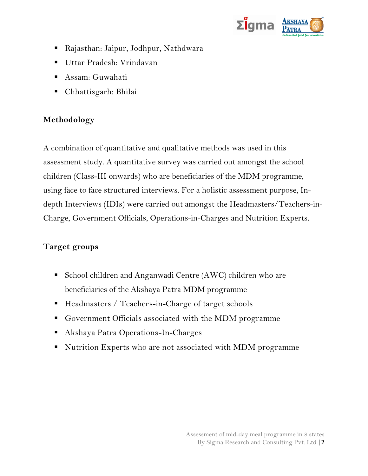

- Rajasthan: Jaipur, Jodhpur, Nathdwara
- Uttar Pradesh: Vrindavan
- Assam: Guwahati
- Chhattisgarh: Bhilai

#### **Methodology**

A combination of quantitative and qualitative methods was used in this assessment study. A quantitative survey was carried out amongst the school children (Class-III onwards) who are beneficiaries of the MDM programme, using face to face structured interviews. For a holistic assessment purpose, Indepth Interviews (IDIs) were carried out amongst the Headmasters/Teachers-in-Charge, Government Officials, Operations-in-Charges and Nutrition Experts.

#### **Target groups**

- School children and Anganwadi Centre (AWC) children who are beneficiaries of the Akshaya Patra MDM programme
- Headmasters / Teachers-in-Charge of target schools
- Government Officials associated with the MDM programme
- Akshaya Patra Operations-In-Charges
- Nutrition Experts who are not associated with MDM programme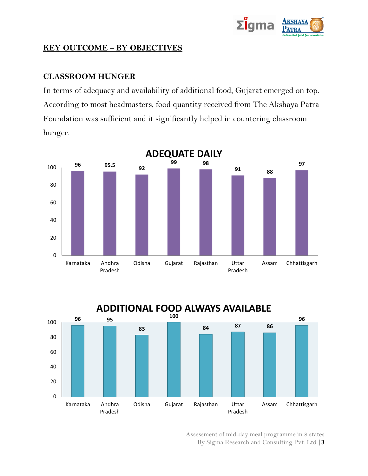

#### **KEY OUTCOME – BY OBJECTIVES**

#### **CLASSROOM HUNGER**

In terms of adequacy and availability of additional food, Gujarat emerged on top. According to most headmasters, food quantity received from The Akshaya Patra Foundation was sufficient and it significantly helped in countering classroom hunger.





Assessment of mid-day meal programme in 8 states By Sigma Research and Consulting Pvt. Ltd |3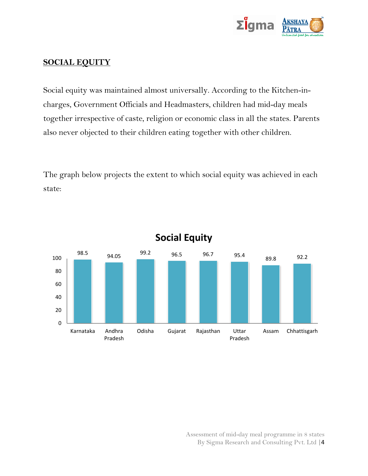

#### **SOCIAL EQUITY**

Social equity was maintained almost universally. According to the Kitchen-incharges, Government Officials and Headmasters, children had mid-day meals together irrespective of caste, religion or economic class in all the states. Parents also never objected to their children eating together with other children.

The graph below projects the extent to which social equity was achieved in each state:



**Social Equity**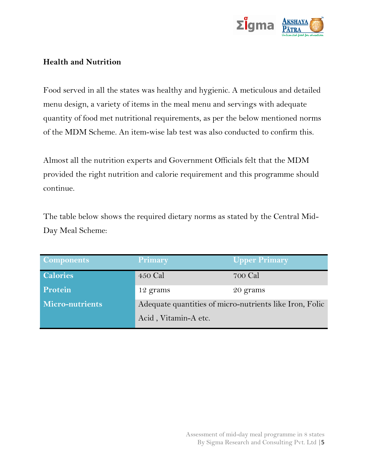

#### **Health and Nutrition**

Food served in all the states was healthy and hygienic. A meticulous and detailed menu design, a variety of items in the meal menu and servings with adequate quantity of food met nutritional requirements, as per the below mentioned norms of the MDM Scheme. An item-wise lab test was also conducted to confirm this.

Almost all the nutrition experts and Government Officials felt that the MDM provided the right nutrition and calorie requirement and this programme should continue.

The table below shows the required dietary norms as stated by the Central Mid-Day Meal Scheme:

| <b>Components</b>      | <b>Primary</b>                                          | <b>Upper Primary</b> |  |  |  |
|------------------------|---------------------------------------------------------|----------------------|--|--|--|
| <b>Calories</b>        | 450 Cal                                                 | 700 Cal              |  |  |  |
| <b>Protein</b>         | 12 grams                                                | 20 grams             |  |  |  |
| <b>Micro-nutrients</b> | Adequate quantities of micro-nutrients like Iron, Folic |                      |  |  |  |
|                        | Acid, Vitamin-A etc.                                    |                      |  |  |  |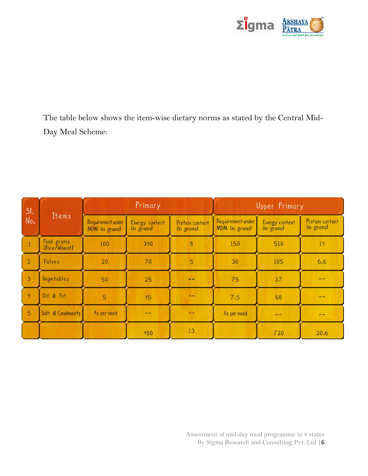

The table below shows the item-wise dietary norms as stated by the Central Mid-Day Meal Scheme:

| SI.<br>No.     | <b>Items</b>                | Primary                             |                              | Upper Primary                 |                                     |                              |                               |
|----------------|-----------------------------|-------------------------------------|------------------------------|-------------------------------|-------------------------------------|------------------------------|-------------------------------|
|                |                             | Requirement under<br>MDM (in grams) | Energy content<br>(in grams) | Protein content<br>(in grams) | Requirement under<br>MDM (in grams) | Energy content<br>(in grams) | Protein content<br>(in grams) |
|                | Food grains<br>(Rice/Wheat) | 100                                 | 340                          | 8                             | 150                                 | 510                          | 14                            |
| $\overline{2}$ | Pulses                      | 20                                  | 70                           | 5                             | 30                                  | 105                          | 6.6                           |
| $\overline{3}$ | Vegetables                  | 50                                  | 25                           |                               | 75                                  | 37                           |                               |
| $\frac{4}{3}$  | Oil $8$ $Fat$               | 5                                   | 45                           | --                            | 7.5                                 | 68                           |                               |
| 5              | Salt & Condiments           | As per need                         | --                           |                               | As per need                         | --                           |                               |
|                |                             |                                     | 480                          | 13                            |                                     | 720                          | 20.6                          |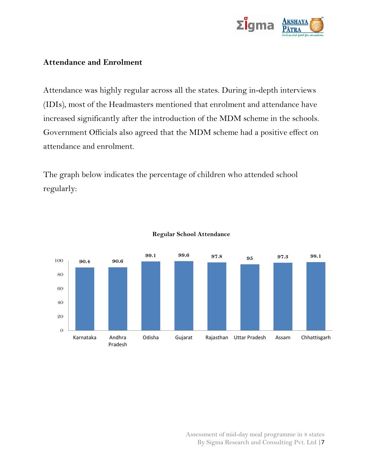

#### **Attendance and Enrolment**

Attendance was highly regular across all the states. During in-depth interviews (IDIs), most of the Headmasters mentioned that enrolment and attendance have increased significantly after the introduction of the MDM scheme in the schools. Government Officials also agreed that the MDM scheme had a positive effect on attendance and enrolment.

The graph below indicates the percentage of children who attended school regularly:



#### **Regular School Attendance**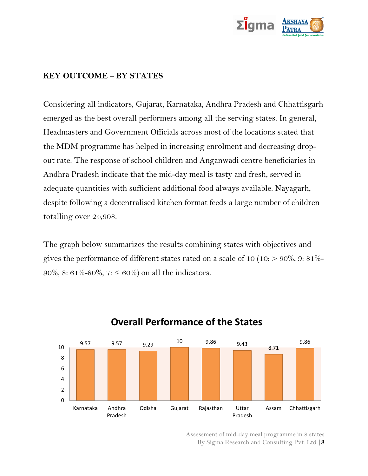

#### **KEY OUTCOME – BY STATES**

Considering all indicators, Gujarat, Karnataka, Andhra Pradesh and Chhattisgarh emerged as the best overall performers among all the serving states. In general, Headmasters and Government Officials across most of the locations stated that the MDM programme has helped in increasing enrolment and decreasing dropout rate. The response of school children and Anganwadi centre beneficiaries in Andhra Pradesh indicate that the mid-day meal is tasty and fresh, served in adequate quantities with sufficient additional food always available. Nayagarh, despite following a decentralised kitchen format feeds a large number of children totalling over 24,908.

The graph below summarizes the results combining states with objectives and gives the performance of different states rated on a scale of 10 (10:  $> 90\%$ , 9: 81%-90%, 8: 61%-80%, 7:  $\leq 60\%$  on all the indicators.



### **Overall Performance of the States**

Assessment of mid-day meal programme in 8 states By Sigma Research and Consulting Pvt. Ltd |8